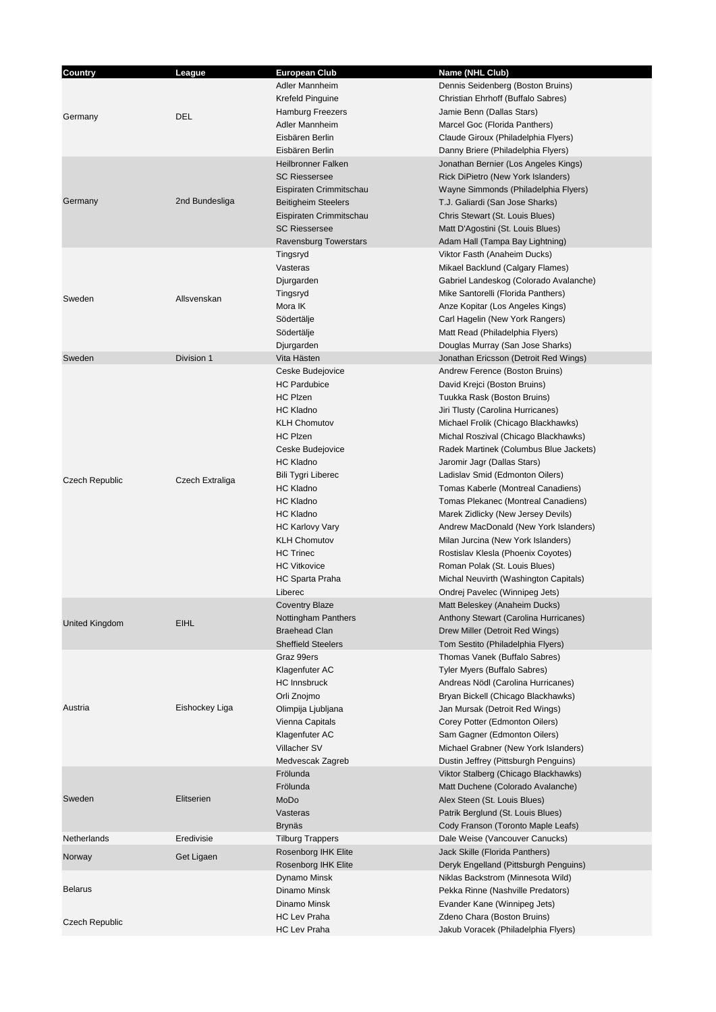| Country               | League          | <b>European Club</b>         | Name (NHL Club)                        |
|-----------------------|-----------------|------------------------------|----------------------------------------|
|                       |                 | Adler Mannheim               | Dennis Seidenberg (Boston Bruins)      |
|                       |                 | Krefeld Pinguine             | Christian Ehrhoff (Buffalo Sabres)     |
|                       |                 | <b>Hamburg Freezers</b>      | Jamie Benn (Dallas Stars)              |
| Germany               | <b>DEL</b>      | Adler Mannheim               | Marcel Goc (Florida Panthers)          |
|                       |                 |                              |                                        |
|                       |                 | Eisbären Berlin              | Claude Giroux (Philadelphia Flyers)    |
|                       |                 | Eisbären Berlin              | Danny Briere (Philadelphia Flyers)     |
|                       |                 | <b>Heilbronner Falken</b>    | Jonathan Bernier (Los Angeles Kings)   |
|                       |                 | <b>SC Riessersee</b>         | Rick DiPietro (New York Islanders)     |
|                       |                 | Eispiraten Crimmitschau      | Wayne Simmonds (Philadelphia Flyers)   |
| Germany               | 2nd Bundesliga  | <b>Beitigheim Steelers</b>   | T.J. Galiardi (San Jose Sharks)        |
|                       |                 | Eispiraten Crimmitschau      | Chris Stewart (St. Louis Blues)        |
|                       |                 | <b>SC Riessersee</b>         | Matt D'Agostini (St. Louis Blues)      |
|                       |                 | <b>Ravensburg Towerstars</b> | Adam Hall (Tampa Bay Lightning)        |
|                       |                 | Tingsryd                     | Viktor Fasth (Anaheim Ducks)           |
|                       |                 | Vasteras                     | Mikael Backlund (Calgary Flames)       |
|                       |                 | Djurgarden                   | Gabriel Landeskog (Colorado Avalanche) |
|                       |                 | Tingsryd                     | Mike Santorelli (Florida Panthers)     |
| Sweden                | Allsvenskan     | Mora IK                      | Anze Kopitar (Los Angeles Kings)       |
|                       |                 |                              |                                        |
|                       |                 | Södertälje                   | Carl Hagelin (New York Rangers)        |
|                       |                 | Södertälje                   | Matt Read (Philadelphia Flyers)        |
|                       |                 | Djurgarden                   | Douglas Murray (San Jose Sharks)       |
| Sweden                | Division 1      | Vita Hästen                  | Jonathan Ericsson (Detroit Red Wings)  |
|                       |                 | Ceske Budejovice             | Andrew Ference (Boston Bruins)         |
|                       |                 | <b>HC Pardubice</b>          | David Krejci (Boston Bruins)           |
|                       |                 | HC Plzen                     | Tuukka Rask (Boston Bruins)            |
|                       |                 | <b>HC Kladno</b>             | Jiri Tlusty (Carolina Hurricanes)      |
|                       |                 | <b>KLH Chomutov</b>          | Michael Frolik (Chicago Blackhawks)    |
|                       |                 | <b>HC Plzen</b>              | Michal Roszival (Chicago Blackhawks)   |
|                       |                 | Ceske Budejovice             | Radek Martinek (Columbus Blue Jackets) |
|                       |                 | HC Kladno                    | Jaromir Jagr (Dallas Stars)            |
|                       |                 |                              |                                        |
| <b>Czech Republic</b> | Czech Extraliga | <b>Bili Tygri Liberec</b>    | Ladislav Smid (Edmonton Oilers)        |
|                       |                 | <b>HC Kladno</b>             | Tomas Kaberle (Montreal Canadiens)     |
|                       |                 | <b>HC Kladno</b>             | Tomas Plekanec (Montreal Canadiens)    |
|                       |                 | <b>HC Kladno</b>             | Marek Zidlicky (New Jersey Devils)     |
|                       |                 | <b>HC Karlovy Vary</b>       | Andrew MacDonald (New York Islanders)  |
|                       |                 | <b>KLH Chomutov</b>          | Milan Jurcina (New York Islanders)     |
|                       |                 | <b>HC Trinec</b>             | Rostislav Klesla (Phoenix Coyotes)     |
|                       |                 | <b>HC Vitkovice</b>          | Roman Polak (St. Louis Blues)          |
|                       |                 | HC Sparta Praha              | Michal Neuvirth (Washington Capitals)  |
|                       |                 | Liberec                      | Ondrej Pavelec (Winnipeg Jets)         |
|                       | EIHL            | <b>Coventry Blaze</b>        | Matt Beleskey (Anaheim Ducks)          |
|                       |                 | Nottingham Panthers          | Anthony Stewart (Carolina Hurricanes)  |
| United Kingdom        |                 | <b>Braehead Clan</b>         | Drew Miller (Detroit Red Wings)        |
|                       |                 | <b>Sheffield Steelers</b>    | Tom Sestito (Philadelphia Flyers)      |
|                       | Eishockey Liga  | Graz 99ers                   | Thomas Vanek (Buffalo Sabres)          |
|                       |                 |                              |                                        |
|                       |                 | Klagenfuter AC               | Tyler Myers (Buffalo Sabres)           |
|                       |                 | HC Innsbruck                 | Andreas Nödl (Carolina Hurricanes)     |
|                       |                 | Orli Znojmo                  | Bryan Bickell (Chicago Blackhawks)     |
| Austria               |                 | Olimpija Ljubljana           | Jan Mursak (Detroit Red Wings)         |
|                       |                 | Vienna Capitals              | Corey Potter (Edmonton Oilers)         |
|                       |                 | Klagenfuter AC               | Sam Gagner (Edmonton Oilers)           |
|                       |                 | Villacher SV                 | Michael Grabner (New York Islanders)   |
|                       |                 | Medvescak Zagreb             | Dustin Jeffrey (Pittsburgh Penguins)   |
|                       | Elitserien      | Frölunda                     | Viktor Stalberg (Chicago Blackhawks)   |
|                       |                 | Frölunda                     | Matt Duchene (Colorado Avalanche)      |
| Sweden                |                 | MoDo                         | Alex Steen (St. Louis Blues)           |
|                       |                 | Vasteras                     | Patrik Berglund (St. Louis Blues)      |
|                       |                 |                              |                                        |
|                       |                 | Brynäs                       | Cody Franson (Toronto Maple Leafs)     |
| Netherlands           | Eredivisie      | <b>Tilburg Trappers</b>      | Dale Weise (Vancouver Canucks)         |
| Norway                | Get Ligaen      | Rosenborg IHK Elite          | Jack Skille (Florida Panthers)         |
|                       |                 | Rosenborg IHK Elite          | Deryk Engelland (Pittsburgh Penguins)  |
|                       |                 | Dynamo Minsk                 | Niklas Backstrom (Minnesota Wild)      |
| <b>Belarus</b>        |                 | Dinamo Minsk                 | Pekka Rinne (Nashville Predators)      |
|                       |                 | Dinamo Minsk                 | Evander Kane (Winnipeg Jets)           |
| Czech Republic        |                 | <b>HC Lev Praha</b>          | Zdeno Chara (Boston Bruins)            |
|                       |                 | <b>HC Lev Praha</b>          | Jakub Voracek (Philadelphia Flyers)    |
|                       |                 |                              |                                        |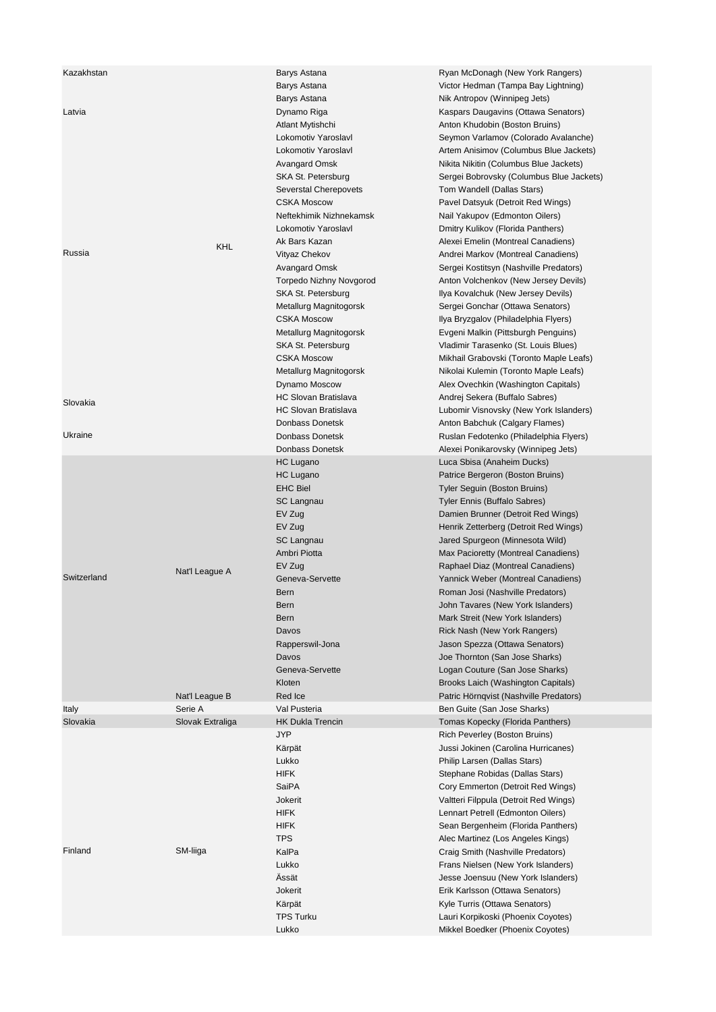| Kazakhstan  |                  | Barys Astana                   | Ryan McDonagh (New York Rangers)         |
|-------------|------------------|--------------------------------|------------------------------------------|
|             |                  | Barys Astana                   | Victor Hedman (Tampa Bay Lightning)      |
|             |                  | Barys Astana                   | Nik Antropov (Winnipeg Jets)             |
| Latvia      |                  | Dynamo Riga                    | Kaspars Daugavins (Ottawa Senators)      |
|             |                  | Atlant Mytishchi               | Anton Khudobin (Boston Bruins)           |
|             |                  | Lokomotiv Yaroslavl            | Seymon Varlamov (Colorado Avalanche)     |
|             |                  | Lokomotiv Yaroslavl            | Artem Anisimov (Columbus Blue Jackets)   |
|             |                  | Avangard Omsk                  | Nikita Nikitin (Columbus Blue Jackets)   |
|             |                  | SKA St. Petersburg             | Sergei Bobrovsky (Columbus Blue Jackets) |
|             |                  |                                |                                          |
|             |                  | Severstal Cherepovets          | Tom Wandell (Dallas Stars)               |
|             |                  | <b>CSKA Moscow</b>             | Pavel Datsyuk (Detroit Red Wings)        |
|             |                  | Neftekhimik Nizhnekamsk        | Nail Yakupov (Edmonton Oilers)           |
|             |                  | Lokomotiv Yaroslavl            | Dmitry Kulikov (Florida Panthers)        |
|             | KHL              | Ak Bars Kazan                  | Alexei Emelin (Montreal Canadiens)       |
| Russia      |                  | Vityaz Chekov                  | Andrei Markov (Montreal Canadiens)       |
|             |                  | Avangard Omsk                  | Sergei Kostitsyn (Nashville Predators)   |
|             |                  | <b>Torpedo Nizhny Novgorod</b> | Anton Volchenkov (New Jersey Devils)     |
|             |                  | SKA St. Petersburg             | Ilya Kovalchuk (New Jersey Devils)       |
|             |                  | Metallurg Magnitogorsk         | Sergei Gonchar (Ottawa Senators)         |
|             |                  | <b>CSKA Moscow</b>             | Ilya Bryzgalov (Philadelphia Flyers)     |
|             |                  | Metallurg Magnitogorsk         | Evgeni Malkin (Pittsburgh Penguins)      |
|             |                  | SKA St. Petersburg             | Vladimir Tarasenko (St. Louis Blues)     |
|             |                  | <b>CSKA Moscow</b>             | Mikhail Grabovski (Toronto Maple Leafs)  |
|             |                  |                                | Nikolai Kulemin (Toronto Maple Leafs)    |
|             |                  | Metallurg Magnitogorsk         |                                          |
|             |                  | Dynamo Moscow                  | Alex Ovechkin (Washington Capitals)      |
| Slovakia    |                  | <b>HC Slovan Bratislava</b>    | Andrej Sekera (Buffalo Sabres)           |
|             |                  | <b>HC Slovan Bratislava</b>    | Lubomir Visnovsky (New York Islanders)   |
|             |                  | Donbass Donetsk                | Anton Babchuk (Calgary Flames)           |
| Ukraine     |                  | Donbass Donetsk                | Ruslan Fedotenko (Philadelphia Flyers)   |
|             |                  | Donbass Donetsk                | Alexei Ponikarovsky (Winnipeg Jets)      |
|             |                  | HC Lugano                      | Luca Sbisa (Anaheim Ducks)               |
|             |                  | <b>HC Lugano</b>               | Patrice Bergeron (Boston Bruins)         |
|             |                  | <b>EHC Biel</b>                | Tyler Seguin (Boston Bruins)             |
|             |                  | SC Langnau                     | <b>Tyler Ennis (Buffalo Sabres)</b>      |
|             |                  | EV Zug                         | Damien Brunner (Detroit Red Wings)       |
|             |                  | EV Zug                         | Henrik Zetterberg (Detroit Red Wings)    |
|             |                  | SC Langnau                     | Jared Spurgeon (Minnesota Wild)          |
|             |                  | Ambri Piotta                   |                                          |
|             |                  |                                | Max Pacioretty (Montreal Canadiens)      |
|             | Nat'l League A   | EV Zug                         | Raphael Diaz (Montreal Canadiens)        |
| Switzerland |                  | Geneva-Servette                | Yannick Weber (Montreal Canadiens)       |
|             |                  | Bern                           | Roman Josi (Nashville Predators)         |
|             |                  | <b>Bern</b>                    | John Tavares (New York Islanders)        |
|             |                  | <b>Bern</b>                    | Mark Streit (New York Islanders)         |
|             |                  | Davos                          | Rick Nash (New York Rangers)             |
|             |                  | Rapperswil-Jona                | Jason Spezza (Ottawa Senators)           |
|             |                  | Davos                          | Joe Thornton (San Jose Sharks)           |
|             |                  | Geneva-Servette                | Logan Couture (San Jose Sharks)          |
|             |                  | Kloten                         | Brooks Laich (Washington Capitals)       |
|             | Nat'l League B   | Red Ice                        | Patric Hörnqvist (Nashville Predators)   |
| Italy       | Serie A          | Val Pusteria                   | Ben Guite (San Jose Sharks)              |
| Slovakia    | Slovak Extraliga | <b>HK Dukla Trencin</b>        | Tomas Kopecky (Florida Panthers)         |
|             |                  | JYP                            | Rich Peverley (Boston Bruins)            |
|             |                  |                                | Jussi Jokinen (Carolina Hurricanes)      |
|             |                  | Kärpät                         |                                          |
|             |                  | Lukko                          | Philip Larsen (Dallas Stars)             |
|             |                  | <b>HIFK</b>                    | Stephane Robidas (Dallas Stars)          |
|             |                  | SaiPA                          | Cory Emmerton (Detroit Red Wings)        |
|             |                  | Jokerit                        | Valtteri Filppula (Detroit Red Wings)    |
|             |                  | <b>HIFK</b>                    | Lennart Petrell (Edmonton Oilers)        |
|             |                  | <b>HIFK</b>                    | Sean Bergenheim (Florida Panthers)       |
|             |                  | <b>TPS</b>                     | Alec Martinez (Los Angeles Kings)        |
| Finland     | SM-liiga         | KalPa                          | Craig Smith (Nashville Predators)        |
|             |                  | Lukko                          | Frans Nielsen (New York Islanders)       |
|             |                  | Ässät                          | Jesse Joensuu (New York Islanders)       |
|             |                  | Jokerit                        | Erik Karlsson (Ottawa Senators)          |
|             |                  | Kärpät                         | Kyle Turris (Ottawa Senators)            |
|             |                  |                                |                                          |
|             |                  | <b>TPS Turku</b>               | Lauri Korpikoski (Phoenix Coyotes)       |
|             |                  | Lukko                          | Mikkel Boedker (Phoenix Coyotes)         |